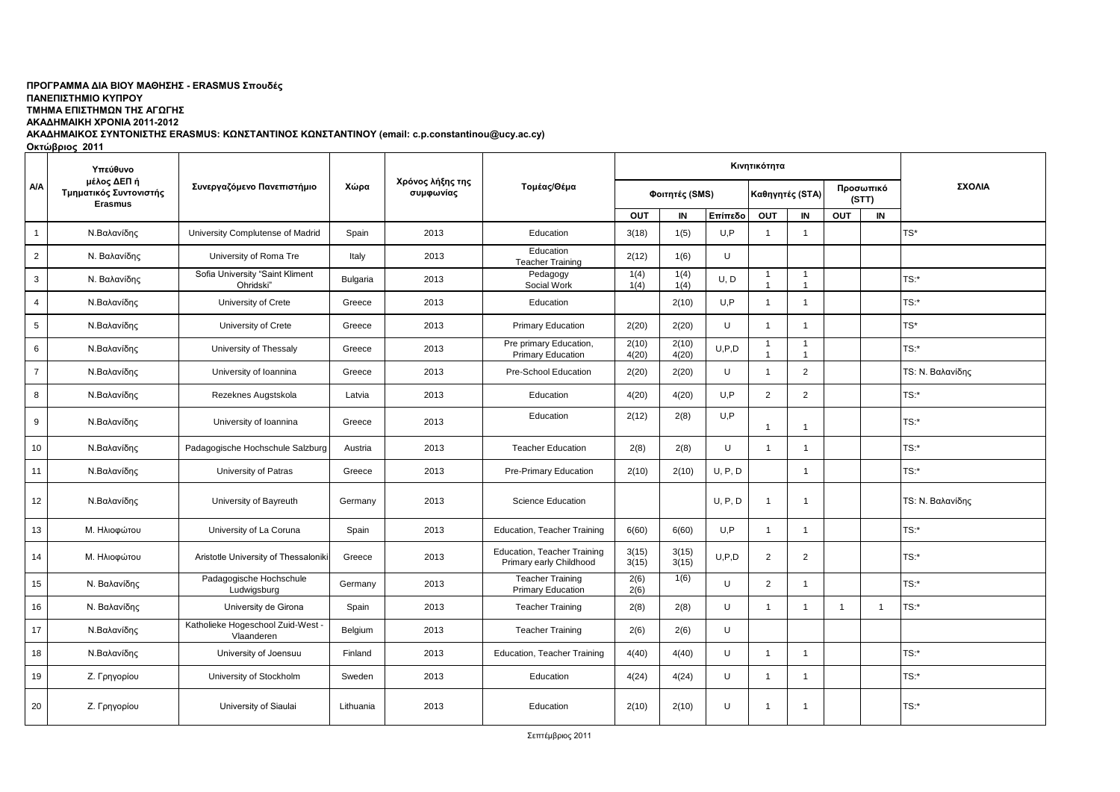## ΠΡΟΓΡΑΜΜΑ ΔΙΑ ΒΙΟΥ ΜΑΘΗΣΗΣ - ERASMUS Σπουδές

**ΠΑΝΔΠΙΣΗΜΙΟ ΚΤΠΡΟΤ**

**ΣΜΗΜΑ ΔΠΙΣΗΜΩΝ ΣΗ ΑΓΩΓΗ** 

**ΑΚΑΔΗΜΑΙΚΗ ΧΡΟΝΙΑ 2011-2012** 

ΑΚΑΔΗΜΑΙΚΟΣ ΣΥΝΤΟΝΙΣΤΗΣ ERASMUS: ΚΩΝΣΤΑΝΤΙΝΟΣ ΚΩΝΣΤΑΝΤΙΝΟΥ (email: c.p.constantinou@ucy.ac.cy)

**Οκτώβριος 2011** 

|                | Υπεύθυνο<br>μέλος ΔΕΠ ή<br>Τμηματικός Συντονιστής<br><b>Erasmus</b> | Συνεργαζόμενο Πανεπιστήμιο                    |           | Χρόνος λήξης της<br>συμφωνίας | Τομέας/Θέμα                                            |                |                |                 |                                |                                |                |                |                  |
|----------------|---------------------------------------------------------------------|-----------------------------------------------|-----------|-------------------------------|--------------------------------------------------------|----------------|----------------|-----------------|--------------------------------|--------------------------------|----------------|----------------|------------------|
| <b>A/A</b>     |                                                                     |                                               | Χώρα      |                               |                                                        |                | Φοιτητές (SMS) | Καθηγητές (STA) |                                | Προσωπικό<br>(STT)             |                | ΣΧΟΛΙΑ         |                  |
|                |                                                                     |                                               |           |                               |                                                        | OUT            | IN             | Επίπεδο         | OUT                            | IN                             | OUT            | IN             |                  |
| $\mathbf{1}$   | Ν.Βαλανίδης                                                         | University Complutense of Madrid              | Spain     | 2013                          | Education                                              | 3(18)          | 1(5)           | U.P             | $\overline{1}$                 | $\overline{1}$                 |                |                | $TS^*$           |
| $\overline{2}$ | Ν. Βαλανίδης                                                        | University of Roma Tre                        | Italy     | 2013                          | Education<br><b>Teacher Training</b>                   | 2(12)          | 1(6)           | U               |                                |                                |                |                |                  |
| $\mathbf{3}$   | Ν. Βαλανίδης                                                        | Sofia University "Saint Kliment<br>Ohridski"  | Bulgaria  | 2013                          | Pedagogy<br>Social Work                                | 1(4)<br>1(4)   | 1(4)<br>1(4)   | U, D            | $\mathbf{1}$<br>$\overline{1}$ | $\mathbf{1}$<br>$\overline{1}$ |                |                | TS:              |
| $\overline{4}$ | Ν.Βαλανίδης                                                         | University of Crete                           | Greece    | 2013                          | Education                                              |                | 2(10)          | U,P             | 1                              | $\mathbf{1}$                   |                |                | TS:              |
| 5              | Ν.Βαλανίδης                                                         | University of Crete                           | Greece    | 2013                          | <b>Primary Education</b>                               | 2(20)          | 2(20)          | U               | $\overline{1}$                 | $\mathbf{1}$                   |                |                | $TS^*$           |
| 6              | Ν.Βαλανίδης                                                         | University of Thessaly                        | Greece    | 2013                          | Pre primary Education,<br><b>Primary Education</b>     | 2(10)<br>4(20) | 2(10)<br>4(20) | U, P, D         | -1<br>$\overline{1}$           | $\mathbf{1}$<br>$\overline{1}$ |                |                | TS:              |
| $\overline{7}$ | Ν.Βαλανίδης                                                         | University of Ioannina                        | Greece    | 2013                          | Pre-School Education                                   | 2(20)          | 2(20)          | U               | -1                             | 2                              |                |                | TS: Ν. Βαλανίδης |
| 8              | Ν.Βαλανίδης                                                         | Rezeknes Augstskola                           | Latvia    | 2013                          | Education                                              | 4(20)          | 4(20)          | U,P             | 2                              | 2                              |                |                | TS:*             |
| 9              | Ν.Βαλανίδης                                                         | University of Ioannina                        | Greece    | 2013                          | Education                                              | 2(12)          | 2(8)           | U,P             | $\overline{1}$                 | $\overline{1}$                 |                |                | TS:*             |
| 10             | Ν.Βαλανίδης                                                         | Padagogische Hochschule Salzburg              | Austria   | 2013                          | <b>Teacher Education</b>                               | 2(8)           | 2(8)           | U               | -1                             | $\mathbf{1}$                   |                |                | TS:              |
| 11             | Ν.Βαλανίδης                                                         | University of Patras                          | Greece    | 2013                          | Pre-Primary Education                                  | 2(10)          | 2(10)          | U, P, D         |                                | $\overline{1}$                 |                |                | $TS:$ *          |
| 12             | Ν.Βαλανίδης                                                         | University of Bayreuth                        | Germany   | 2013                          | <b>Science Education</b>                               |                |                | U, P, D         | -1                             | $\overline{1}$                 |                |                | TS: Ν. Βαλανίδης |
| 13             | Μ. Ηλιοφώτου                                                        | University of La Coruna                       | Spain     | 2013                          | Education, Teacher Training                            | 6(60)          | 6(60)          | U,P             |                                | $\mathbf{1}$                   |                |                | TS:              |
| 14             | Μ. Ηλιοφώτου                                                        | Aristotle University of Thessaloniki          | Greece    | 2013                          | Education, Teacher Training<br>Primary early Childhood | 3(15)<br>3(15) | 3(15)<br>3(15) | U.P.D           | 2                              | 2                              |                |                | TS:              |
| 15             | Ν. Βαλανίδης                                                        | Padagogische Hochschule<br>Ludwigsburg        | Germany   | 2013                          | <b>Teacher Training</b><br><b>Primary Education</b>    | 2(6)<br>2(6)   | 1(6)           | U               | 2                              | $\mathbf{1}$                   |                |                | TS:              |
| 16             | Ν. Βαλανίδης                                                        | University de Girona                          | Spain     | 2013                          | <b>Teacher Training</b>                                | 2(8)           | 2(8)           | U               | -1                             | $\overline{1}$                 | $\overline{1}$ | $\overline{1}$ | TS:              |
| 17             | Ν.Βαλανίδης                                                         | Katholieke Hogeschool Zuid-West<br>Vlaanderen | Belgium   | 2013                          | <b>Teacher Training</b>                                | 2(6)           | 2(6)           | U               |                                |                                |                |                |                  |
| 18             | Ν.Βαλανίδης                                                         | University of Joensuu                         | Finland   | 2013                          | Education, Teacher Training                            | 4(40)          | 4(40)          | U               | $\overline{1}$                 | $\mathbf{1}$                   |                |                | TS:*             |
| 19             | Ζ. Γρηγορίου                                                        | University of Stockholm                       | Sweden    | 2013                          | Education                                              | 4(24)          | 4(24)          | U               | $\overline{1}$                 | $\overline{1}$                 |                |                | TS:              |
| 20             | Ζ. Γρηγορίου                                                        | University of Siaulai                         | Lithuania | 2013                          | Education                                              | 2(10)          | 2(10)          | U               | $\mathbf{1}$                   | $\overline{1}$                 |                |                | TS:*             |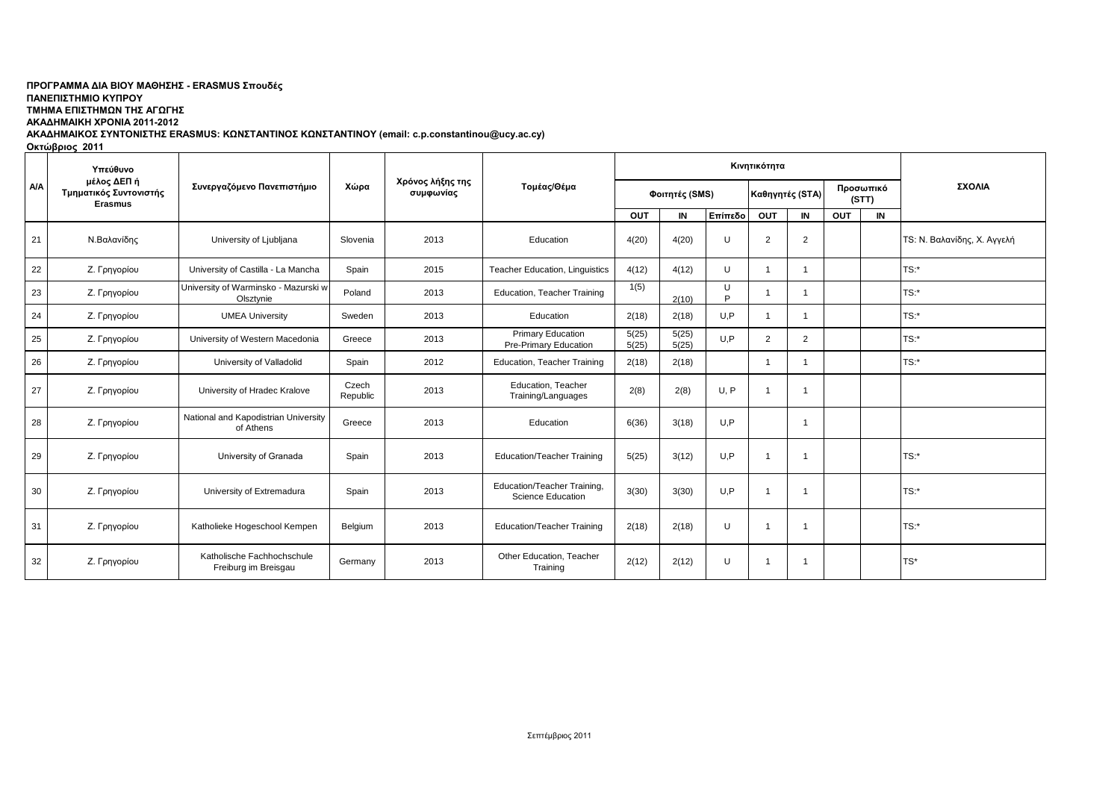## ΠΡΟΓΡΑΜΜΑ ΔΙΑ ΒΙΟΥ ΜΑΘΗΣΗΣ - ERASMUS Σπουδές **ΠΑΝΔΠΙΣΗΜΙΟ ΚΤΠΡΟΤ**

**ΣΜΗΜΑ ΔΠΙΣΗΜΩΝ ΣΗ ΑΓΩΓΗ** 

**ΑΚΑΔΗΜΑΙΚΗ ΧΡΟΝΙΑ 2011-2012** 

ΑΚΑΔΗΜΑΙΚΟΣ ΣΥΝΤΟΝΙΣΤΗΣ ERASMUS: ΚΩΝΣΤΑΝΤΙΝΟΣ ΚΩΝΣΤΑΝΤΙΝΟΥ (email: c.p.constantinou@ucy.ac.cy)

**Οκτώβριος 2011** 

|            | Υπεύθυνο<br>μέλος ΔΕΠ ή<br>Τμηματικός Συντονιστής<br><b>Erasmus</b> | Συνεργαζόμενο Πανεπιστήμιο                         |                   | Χρόνος λήξης της<br>συμφωνίας | Τομέας/Θέμα                                             |                |                | Κινητικότητα | ΣΧΟΛΙΑ         |                 |     |                    |                             |
|------------|---------------------------------------------------------------------|----------------------------------------------------|-------------------|-------------------------------|---------------------------------------------------------|----------------|----------------|--------------|----------------|-----------------|-----|--------------------|-----------------------------|
| <b>A/A</b> |                                                                     |                                                    | Χώρα              |                               |                                                         | Φοιτητές (SMS) |                |              |                | Καθηγητές (STA) |     | Προσωπικό<br>(STT) |                             |
|            |                                                                     |                                                    |                   |                               |                                                         | <b>OUT</b>     | IN             | Επίπεδο      | OUT            | IN              | OUT | IN                 |                             |
| 21         | Ν.Βαλανίδης                                                         | University of Ljubljana                            | Slovenia          | 2013                          | Education                                               | 4(20)          | 4(20)          | IJ           | $\overline{2}$ | 2               |     |                    | TS: Ν. Βαλανίδης, Χ. Αγγελή |
| 22         | Ζ. Γρηγορίου                                                        | University of Castilla - La Mancha                 | Spain             | 2015                          | Teacher Education, Linguistics                          | 4(12)          | 4(12)          | U            | r.             | -1              |     |                    | TS:*                        |
| 23         | Ζ. Γρηγορίου                                                        | University of Warminsko - Mazurski w<br>Olsztynie  | Poland            | 2013                          | <b>Education, Teacher Training</b>                      | 1(5)           | 2(10)          | U<br>D       |                | -1              |     |                    | TS:*                        |
| 24         | Ζ. Γρηγορίου                                                        | <b>UMEA University</b>                             | Sweden            | 2013                          | Education                                               | 2(18)          | 2(18)          | U.P          |                | -1              |     |                    | $TS:$ *                     |
| 25         | Ζ. Γρηγορίου                                                        | University of Western Macedonia                    | Greece            | 2013                          | Primary Education<br>Pre-Primary Education              | 5(25)<br>5(25) | 5(25)<br>5(25) | U,P          | $\overline{2}$ | 2               |     |                    | $TS:$ *                     |
| 26         | Ζ. Γρηγορίου                                                        | University of Valladolid                           | Spain             | 2012                          | Education, Teacher Training                             | 2(18)          | 2(18)          |              |                | -1              |     |                    | $TS:$ *                     |
| 27         | Ζ. Γρηγορίου                                                        | University of Hradec Kralove                       | Czech<br>Republic | 2013                          | Education, Teacher<br>Training/Languages                | 2(8)           | 2(8)           | U, P         |                | $\overline{1}$  |     |                    |                             |
| 28         | Ζ. Γρηγορίου                                                        | National and Kapodistrian University<br>of Athens  | Greece            | 2013                          | Education                                               | 6(36)          | 3(18)          | U,P          |                | $\overline{1}$  |     |                    |                             |
| 29         | Ζ. Γρηγορίου                                                        | University of Granada                              | Spain             | 2013                          | <b>Education/Teacher Training</b>                       | 5(25)          | 3(12)          | U,P          |                | $\overline{1}$  |     |                    | TS:*                        |
| 30         | Ζ. Γρηγορίου                                                        | University of Extremadura                          | Spain             | 2013                          | Education/Teacher Training.<br><b>Science Education</b> | 3(30)          | 3(30)          | U.P          | r.             | $\overline{1}$  |     |                    | TS:*                        |
| 31         | Ζ. Γρηγορίου                                                        | Katholieke Hogeschool Kempen                       | Belgium           | 2013                          | <b>Education/Teacher Training</b>                       | 2(18)          | 2(18)          | U            |                | $\overline{1}$  |     |                    | TS:                         |
| 32         | Ζ. Γρηγορίου                                                        | Katholische Fachhochschule<br>Freiburg im Breisgau | Germany           | 2013                          | Other Education, Teacher<br>Training                    | 2(12)          | 2(12)          | U            |                | -1              |     |                    | TS*                         |